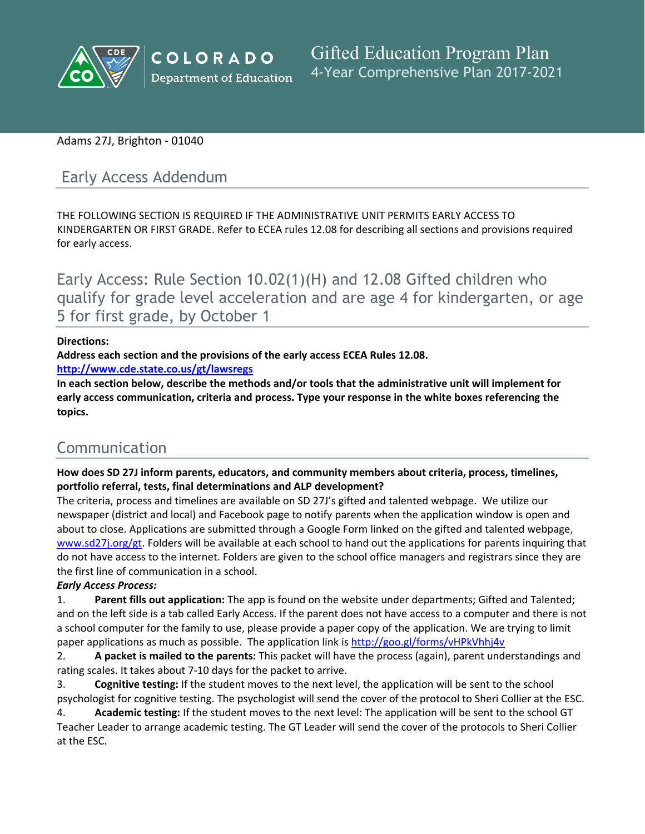

# Adams 27J, Brighton - 01040

# Early Access Addendum

THE FOLLOWING SECTION IS REQUIRED IF THE ADMINISTRATIVE UNIT PERMITS EARLY ACCESS TO KINDERGARTEN OR FIRST GRADE. Refer to ECEA rules 12.08 for describing all sections and provisions required for early access.

Early Access: Rule Section 10.02(1)(H) and 12.08 Gifted children who qualify for grade level acceleration and are age 4 for kindergarten, or age 5 for first grade, by October 1

# **Directions:**

**Address each section and the provisions of the early access ECEA Rules 12.08.**

**<http://www.cde.state.co.us/gt/lawsregs>**

**In each section below, describe the methods and/or tools that the administrative unit will implement for early access communication, criteria and process. Type your response in the white boxes referencing the topics.**

# Communication

**How does SD 27J inform parents, educators, and community members about criteria, process, timelines, portfolio referral, tests, final determinations and ALP development?**

The criteria, process and timelines are available on SD 27J's gifted and talented webpage. We utilize our newspaper (district and local) and Facebook page to notify parents when the application window is open and about to close. Applications are submitted through a Google Form linked on the gifted and talented webpage, [www.sd27j.org/gt.]() Folders will be available at each school to hand out the applications for parents inquiring that do not have access to the internet. Folders are given to the school office managers and registrars since they are the first line of communication in a school.

# *Early Access Process:*

1. **Parent fills out application:** The app is found on the website under departments; Gifted and Talented; and on the left side is a tab called Early Access. If the parent does not have access to a computer and there is not a school computer for the family to use, please provide a paper copy of the application. We are trying to limit paper applications as much as possible. The application link is [http://goo.gl/forms/vHPkVhhj4v]()

2. **A packet is mailed to the parents:** This packet will have the process (again), parent understandings and rating scales. It takes about 7-10 days for the packet to arrive.

3. **Cognitive testing:** If the student moves to the next level, the application will be sent to the school psychologist for cognitive testing. The psychologist will send the cover of the protocol to Sheri Collier at the ESC.

4. **Academic testing:** If the student moves to the next level: The application will be sent to the school GT Teacher Leader to arrange academic testing. The GT Leader will send the cover of the protocols to Sheri Collier at the ESC.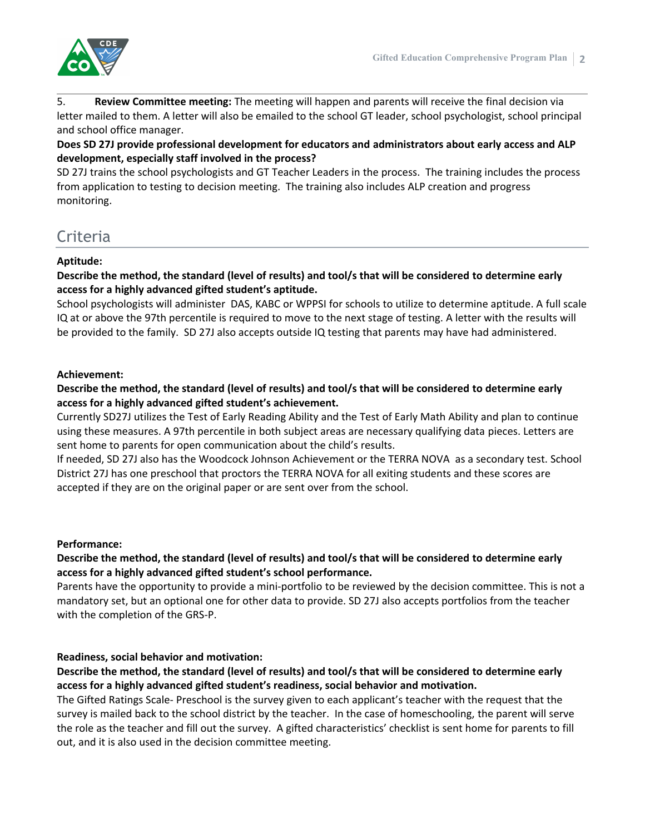

5. **Review Committee meeting:** The meeting will happen and parents will receive the final decision via letter mailed to them. A letter will also be emailed to the school GT leader, school psychologist, school principal and school office manager.

**Does SD 27J provide professional development for educators and administrators about early access and ALP development, especially staff involved in the process?**

SD 27J trains the school psychologists and GT Teacher Leaders in the process. The training includes the process from application to testing to decision meeting. The training also includes ALP creation and progress monitoring.

# Criteria

#### **Aptitude:**

Describe the method, the standard (level of results) and tool/s that will be considered to determine early **access for a highly advanced gifted student's aptitude.**

School psychologists will administer DAS, KABC or WPPSI for schools to utilize to determine aptitude. A full scale IQ at or above the 97th percentile is required to move to the next stage of testing. A letter with the results will be provided to the family. SD 27J also accepts outside IQ testing that parents may have had administered.

#### **Achievement:**

Describe the method, the standard (level of results) and tool/s that will be considered to determine early **access for a highly advanced gifted student's achievement.**

Currently SD27J utilizes the Test of Early Reading Ability and the Test of Early Math Ability and plan to continue using these measures. A 97th percentile in both subject areas are necessary qualifying data pieces. Letters are sent home to parents for open communication about the child's results.

If needed, SD 27J also has the Woodcock Johnson Achievement or the TERRA NOVA as a secondary test. School District 27J has one preschool that proctors the TERRA NOVA for all exiting students and these scores are accepted if they are on the original paper or are sent over from the school.

#### **Performance:**

# Describe the method, the standard (level of results) and tool/s that will be considered to determine early **access for a highly advanced gifted student's school performance.**

Parents have the opportunity to provide a mini-portfolio to be reviewed by the decision committee. This is not a mandatory set, but an optional one for other data to provide. SD 27J also accepts portfolios from the teacher with the completion of the GRS-P.

#### **Readiness, social behavior and motivation:**

# Describe the method, the standard (level of results) and tool/s that will be considered to determine early **access for a highly advanced gifted student's readiness, social behavior and motivation.**

The Gifted Ratings Scale- Preschool is the survey given to each applicant's teacher with the request that the survey is mailed back to the school district by the teacher. In the case of homeschooling, the parent will serve the role as the teacher and fill out the survey. A gifted characteristics' checklist is sent home for parents to fill out, and it is also used in the decision committee meeting.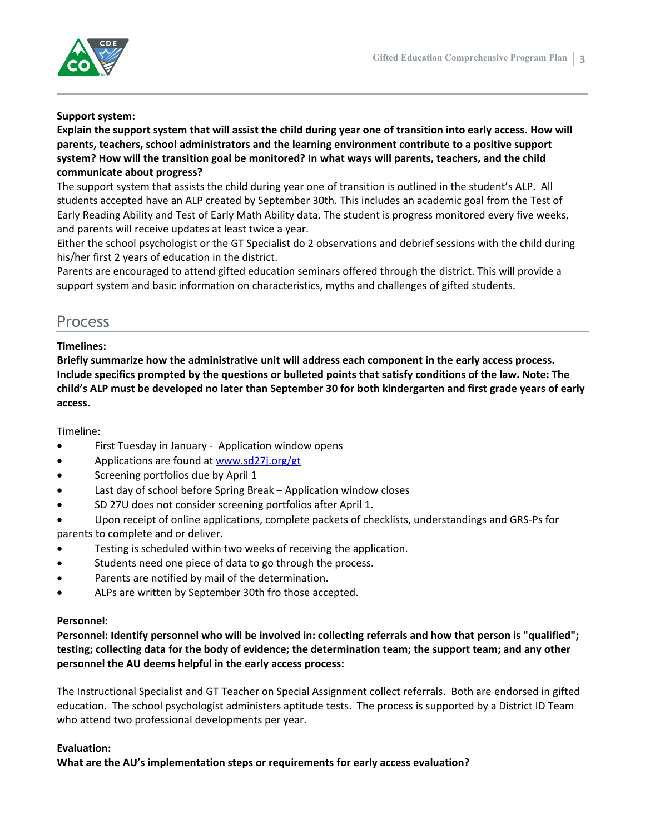

#### **Support system:**

Explain the support system that will assist the child during year one of transition into early access. How will **parents, teachers, school administrators and the learning environment contribute to a positive support system? How will the transition goal be monitored? In what ways will parents, teachers, and the child communicate about progress?**

The support system that assists the child during year one of transition is outlined in the student's ALP. All students accepted have an ALP created by September 30th. This includes an academic goal from the Test of Early Reading Ability and Test of Early Math Ability data. The student is progress monitored every five weeks, and parents will receive updates at least twice a year.

Either the school psychologist or the GT Specialist do 2 observations and debrief sessions with the child during his/her first 2 years of education in the district.

Parents are encouraged to attend gifted education seminars offered through the district. This will provide a support system and basic information on characteristics, myths and challenges of gifted students.

# Process

#### **Timelines:**

**Briefly summarize how the administrative unit will address each component in the early access process.** Include specifics prompted by the questions or bulleted points that satisfy conditions of the law. Note: The child's ALP must be developed no later than September 30 for both kindergarten and first grade years of early **access.**

#### Timeline:

- First Tuesday in January Application window opens
- Applications are found at [www.sd27j.org/gt]()
- Screening portfolios due by April 1
- Last day of school before Spring Break Application window closes
- SD 27U does not consider screening portfolios after April 1.

 Upon receipt of online applications, complete packets of checklists, understandings and GRS-Ps for parents to complete and or deliver.

- Testing is scheduled within two weeks of receiving the application.
- Students need one piece of data to go through the process.
- Parents are notified by mail of the determination.
- ALPs are written by September 30th fro those accepted.

#### **Personnel:**

**Personnel: Identify personnel who will be involved in: collecting referrals and how that person is "qualified";** testing; collecting data for the body of evidence; the determination team; the support team; and any other **personnel the AU deems helpful in the early access process:**

The Instructional Specialist and GT Teacher on Special Assignment collect referrals. Both are endorsed in gifted education. The school psychologist administers aptitude tests. The process is supported by a District ID Team who attend two professional developments per year.

#### **Evaluation:**

**What are the AU's implementation steps or requirements for early access evaluation?**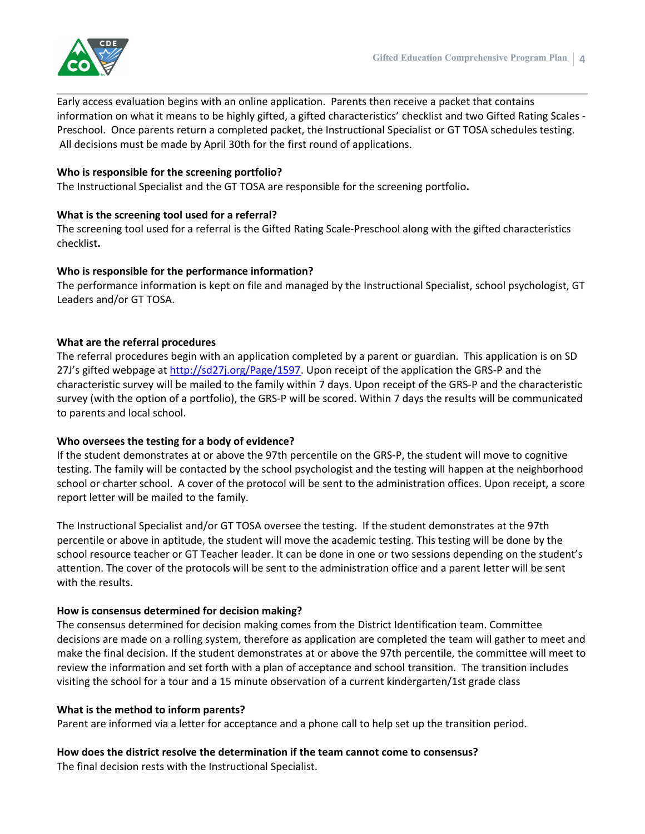

Early access evaluation begins with an online application. Parents then receive a packet that contains information on what it means to be highly gifted, a gifted characteristics' checklist and two Gifted Rating Scales - Preschool. Once parents return a completed packet, the Instructional Specialist or GT TOSA schedules testing. All decisions must be made by April 30th for the first round of applications.

#### **Who is responsible for the screening portfolio?**

The Instructional Specialist and the GT TOSA are responsible for the screening portfolio**.**

# **What is the screening tool used for a referral?**

The screening tool used for a referral is the Gifted Rating Scale-Preschool along with the gifted characteristics checklist**.**

#### **Who is responsible for the performance information?**

The performance information is kept on file and managed by the Instructional Specialist, school psychologist, GT Leaders and/or GT TOSA.

# **What are the referral procedures**

The referral procedures begin with an application completed by a parent or guardian. This application is on SD 27J's gifted webpage at [http://sd27j.org/Page/1597.]() Upon receipt of the application the GRS-P and the characteristic survey will be mailed to the family within 7 days. Upon receipt of the GRS-P and the characteristic survey (with the option of a portfolio), the GRS-P will be scored. Within 7 days the results will be communicated to parents and local school.

#### **Who oversees the testing for a body of evidence?**

If the student demonstrates at or above the 97th percentile on the GRS-P, the student will move to cognitive testing. The family will be contacted by the school psychologist and the testing will happen at the neighborhood school or charter school. A cover of the protocol will be sent to the administration offices. Upon receipt, a score report letter will be mailed to the family.

The Instructional Specialist and/or GT TOSA oversee the testing. If the student demonstrates at the 97th percentile or above in aptitude, the student will move the academic testing. This testing will be done by the school resource teacher or GT Teacher leader. It can be done in one or two sessions depending on the student's attention. The cover of the protocols will be sent to the administration office and a parent letter will be sent with the results.

#### **How is consensus determined for decision making?**

The consensus determined for decision making comes from the District Identification team. Committee decisions are made on a rolling system, therefore as application are completed the team will gather to meet and make the final decision. If the student demonstrates at or above the 97th percentile, the committee will meet to review the information and set forth with a plan of acceptance and school transition. The transition includes visiting the school for a tour and a 15 minute observation of a current kindergarten/1st grade class

#### **What is the method to inform parents?**

Parent are informed via a letter for acceptance and a phone call to help set up the transition period.

# **How does the district resolve the determination if the team cannot come to consensus?**

The final decision rests with the Instructional Specialist.